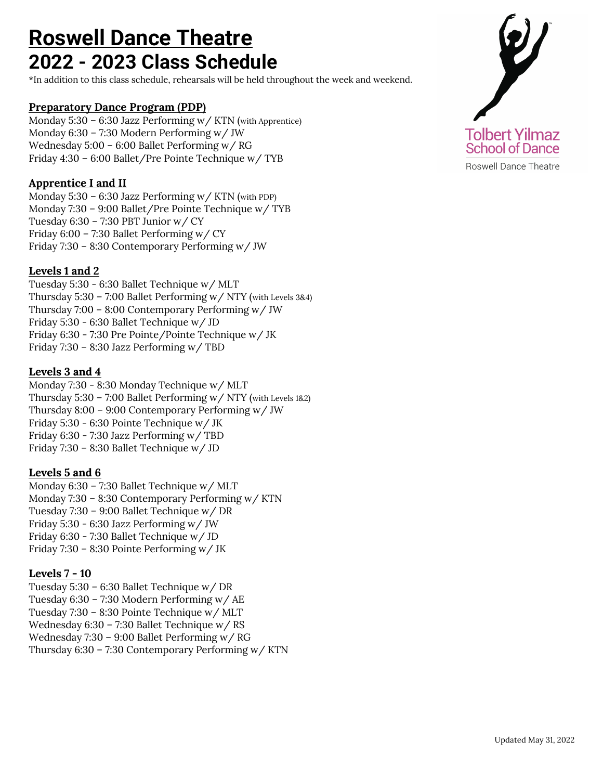# **Roswell Dance Theatre 2022 - 2023 Class Schedule**

\*In addition to this class schedule, rehearsals will be held throughout the week and weekend.

## **Preparatory Dance Program (PDP)**

Monday 5:30 – 6:30 Jazz Performing w/ KTN (with Apprentice) Monday 6:30 – 7:30 Modern Performing w/ JW Wednesday 5:00 – 6:00 Ballet Performing w/ RG Friday 4:30 – 6:00 Ballet/Pre Pointe Technique w/ TYB

# **Apprentice I and II**

Monday 5:30 – 6:30 Jazz Performing w/ KTN (with PDP) Monday 7:30 – 9:00 Ballet/Pre Pointe Technique w/ TYB Tuesday  $6:30 - 7:30$  PBT Junior w/ CY Friday 6:00 – 7:30 Ballet Performing w/ CY Friday 7:30 – 8:30 Contemporary Performing w/ JW

# **Levels 1 and 2**

Tuesday 5:30 - 6:30 Ballet Technique w/ MLT Thursday 5:30 – 7:00 Ballet Performing w/ NTY (with Levels 3&4) Thursday 7:00 – 8:00 Contemporary Performing w/ JW Friday 5:30 - 6:30 Ballet Technique w/ JD Friday 6:30 - 7:30 Pre Pointe/Pointe Technique w/ JK Friday 7:30 – 8:30 Jazz Performing w/ TBD

## **Levels 3 and 4**

Monday 7:30 - 8:30 Monday Technique w/ MLT Thursday 5:30 – 7:00 Ballet Performing w/ NTY (with Levels 1&2) Thursday 8:00 – 9:00 Contemporary Performing w/ JW Friday 5:30 - 6:30 Pointe Technique w/ JK Friday 6:30 - 7:30 Jazz Performing w/ TBD Friday 7:30 – 8:30 Ballet Technique w/ JD

## **Levels 5 and 6**

Monday 6:30 – 7:30 Ballet Technique w/ MLT Monday 7:30 – 8:30 Contemporary Performing w/ KTN Tuesday 7:30 – 9:00 Ballet Technique w/ DR Friday 5:30 - 6:30 Jazz Performing w/ JW Friday 6:30 - 7:30 Ballet Technique w/ JD Friday 7:30 – 8:30 Pointe Performing w/ JK

## **Levels 7 - 10**

Tuesday 5:30 – 6:30 Ballet Technique w/ DR Tuesday 6:30 – 7:30 Modern Performing w/ AE Tuesday 7:30 – 8:30 Pointe Technique w/ MLT Wednesday 6:30 – 7:30 Ballet Technique w/ RS Wednesday 7:30 – 9:00 Ballet Performing w/ RG Thursday 6:30 – 7:30 Contemporary Performing w/ KTN